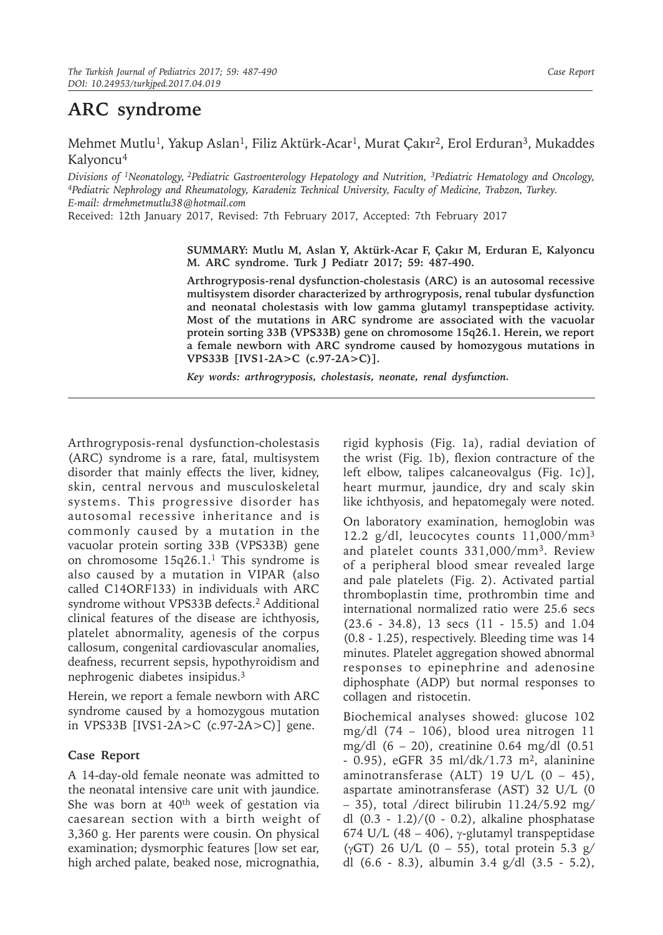## **ARC syndrome**

Mehmet Mutlu<sup>1</sup>, Yakup Aslan<sup>1</sup>, Filiz Aktürk-Acar<sup>1</sup>, Murat Çakır<sup>2</sup>, Erol Erduran<sup>3</sup>, Mukaddes Kalyoncu<sup>4</sup>

*Divisions of 1Neonatology,<sup>2</sup>Pediatric Gastroenterology Hepatology and Nutrition, 3Pediatric Hematology and Oncology, <sup>4</sup>Pediatric Nephrology and Rheumatology, Karadeniz Technical University, Faculty of Medicine, Trabzon, Turkey. E-mail: drmehmetmutlu38@hotmail.com*

Received: 12th January 2017, Revised: 7th February 2017, Accepted: 7th February 2017

**SUMMARY: Mutlu M, Aslan Y, Aktürk-Acar F, Çakır M, Erduran E, Kalyoncu M. ARC syndrome. Turk J Pediatr 2017; 59: 487-490.**

**Arthrogryposis-renal dysfunction-cholestasis (ARC) is an autosomal recessive multisystem disorder characterized by arthrogryposis, renal tubular dysfunction and neonatal cholestasis with low gamma glutamyl transpeptidase activity. Most of the mutations in ARC syndrome are associated with the vacuolar protein sorting 33B (VPS33B) gene on chromosome 15q26.1. Herein, we report a female newborn with ARC syndrome caused by homozygous mutations in VPS33B [IVS1-2A>C (c.97-2A>C)].**

*Key words: arthrogryposis, cholestasis, neonate, renal dysfunction.*

Arthrogryposis-renal dysfunction-cholestasis (ARC) syndrome is a rare, fatal, multisystem disorder that mainly effects the liver, kidney, skin, central nervous and musculoskeletal systems. This progressive disorder has autosomal recessive inheritance and is commonly caused by a mutation in the vacuolar protein sorting 33B (VPS33B) gene on chromosome 15q26.1.1 This syndrome is also caused by a mutation in VIPAR (also called C14ORF133) in individuals with ARC syndrome without VPS33B defects.<sup>2</sup> Additional clinical features of the disease are ichthyosis, platelet abnormality, agenesis of the corpus callosum, congenital cardiovascular anomalies, deafness, recurrent sepsis, hypothyroidism and nephrogenic diabetes insipidus.<sup>3</sup>

Herein, we report a female newborn with ARC syndrome caused by a homozygous mutation in VPS33B [IVS1-2A>C (c.97-2A>C)] gene.

## **Case Report**

A 14-day-old female neonate was admitted to the neonatal intensive care unit with jaundice. She was born at 40<sup>th</sup> week of gestation via caesarean section with a birth weight of 3,360 g. Her parents were cousin. On physical examination; dysmorphic features [low set ear, high arched palate, beaked nose, micrognathia,

rigid kyphosis (Fig. 1a), radial deviation of the wrist (Fig. 1b), flexion contracture of the left elbow, talipes calcaneovalgus (Fig. 1c)], heart murmur, jaundice, dry and scaly skin like ichthyosis, and hepatomegaly were noted.

On laboratory examination, hemoglobin was 12.2 g/dl, leucocytes counts  $11,000/mm^3$ and platelet counts 331,000/mm<sup>3</sup>. Review of a peripheral blood smear revealed large and pale platelets (Fig. 2). Activated partial thromboplastin time, prothrombin time and international normalized ratio were 25.6 secs (23.6 - 34.8), 13 secs (11 - 15.5) and 1.04 (0.8 - 1.25), respectively. Bleeding time was 14 minutes. Platelet aggregation showed abnormal responses to epinephrine and adenosine diphosphate (ADP) but normal responses to collagen and ristocetin.

Biochemical analyses showed: glucose 102 mg/dl (74 – 106), blood urea nitrogen 11 mg/dl (6 – 20), creatinine 0.64 mg/dl (0.51 - 0.95), eGFR 35 ml/dk/1.73 m2, alaninine aminotransferase (ALT) 19 U/L  $(0 - 45)$ , aspartate aminotransferase (AST) 32 U/L (0  $-$  35), total /direct bilirubin 11.24/5.92 mg/ dl (0.3 - 1.2)/(0 - 0.2), alkaline phosphatase 674 U/L (48 – 406), γ-glutamyl transpeptidase ( $\gamma$ GT) 26 U/L (0 – 55), total protein 5.3 g/ dl (6.6 - 8.3), albumin 3.4 g/dl (3.5 - 5.2),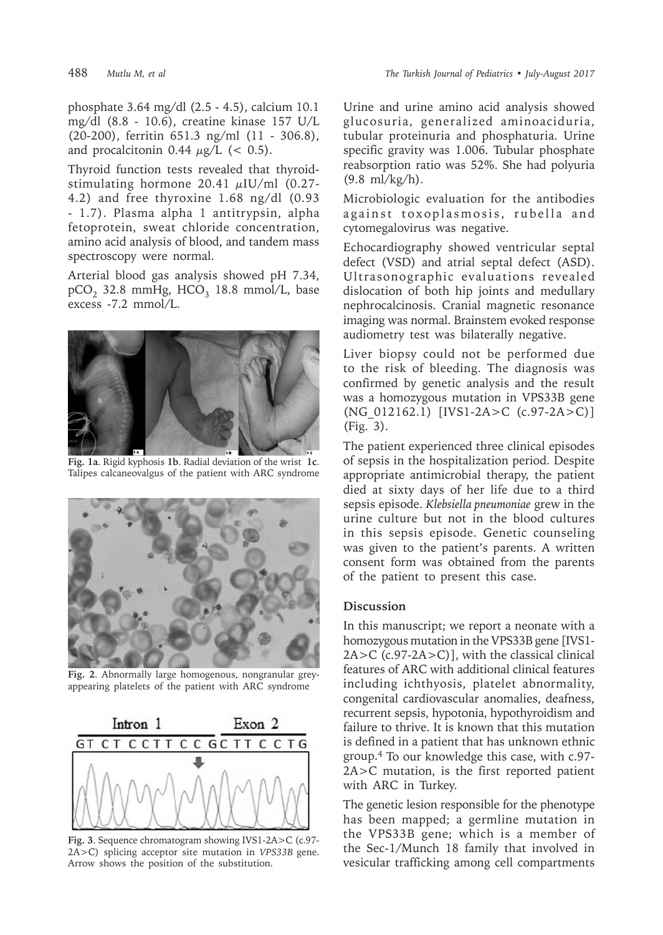phosphate 3.64 mg/dl (2.5 - 4.5), calcium 10.1 mg/dl (8.8 - 10.6), creatine kinase 157 U/L (20-200), ferritin 651.3 ng/ml (11 - 306.8), and procalcitonin 0.44  $\mu$ g/L (< 0.5).

Thyroid function tests revealed that thyroidstimulating hormone 20.41  $\mu$ IU/ml (0.27-4.2) and free thyroxine 1.68 ng/dl (0.93 - 1.7). Plasma alpha 1 antitrypsin, alpha fetoprotein, sweat chloride concentration, amino acid analysis of blood, and tandem mass spectroscopy were normal.

Arterial blood gas analysis showed pH 7.34,  $pCO<sub>2</sub>$  32.8 mmHg, HCO<sub>3</sub> 18.8 mmol/L, base excess -7.2 mmol/L.



**Fig. 1a**. Rigid kyphosis **1b**. Radial deviation of the wrist **1c**. Talipes calcaneovalgus of the patient with ARC syndrome



**Fig. 2**. Abnormally large homogenous, nongranular greyappearing platelets of the patient with ARC syndrome



**Fig. 3**. Sequence chromatogram showing IVS1-2A>C (c.97- 2A>C) splicing acceptor site mutation in *VPS33B* gene. Arrow shows the position of the substitution.

Urine and urine amino acid analysis showed glucosuria, generalized aminoaciduria, tubular proteinuria and phosphaturia. Urine specific gravity was 1.006. Tubular phosphate reabsorption ratio was 52%. She had polyuria (9.8 ml/kg/h).

Microbiologic evaluation for the antibodies against toxoplasmosis, rubella and cytomegalovirus was negative.

Echocardiography showed ventricular septal defect (VSD) and atrial septal defect (ASD). Ultrasonographic evaluations revealed dislocation of both hip joints and medullary nephrocalcinosis. Cranial magnetic resonance imaging was normal. Brainstem evoked response audiometry test was bilaterally negative.

Liver biopsy could not be performed due to the risk of bleeding. The diagnosis was confirmed by genetic analysis and the result was a homozygous mutation in VPS33B gene (NG\_012162.1) [IVS1-2A>C (c.97-2A>C)] (Fig. 3).

The patient experienced three clinical episodes of sepsis in the hospitalization period. Despite appropriate antimicrobial therapy, the patient died at sixty days of her life due to a third sepsis episode. *Klebsiella pneumoniae* grew in the urine culture but not in the blood cultures in this sepsis episode. Genetic counseling was given to the patient's parents. A written consent form was obtained from the parents of the patient to present this case.

## **Discussion**

In this manuscript; we report a neonate with a homozygous mutation in the VPS33B gene [IVS1-  $2A > C$  (c.97-2A $>$ C)], with the classical clinical features of ARC with additional clinical features including ichthyosis, platelet abnormality, congenital cardiovascular anomalies, deafness, recurrent sepsis, hypotonia, hypothyroidism and failure to thrive. It is known that this mutation is defined in a patient that has unknown ethnic group.<sup>4</sup> To our knowledge this case, with c.97- 2A>C mutation, is the first reported patient with ARC in Turkey.

The genetic lesion responsible for the phenotype has been mapped; a germline mutation in the VPS33B gene; which is a member of the Sec-1/Munch 18 family that involved in vesicular trafficking among cell compartments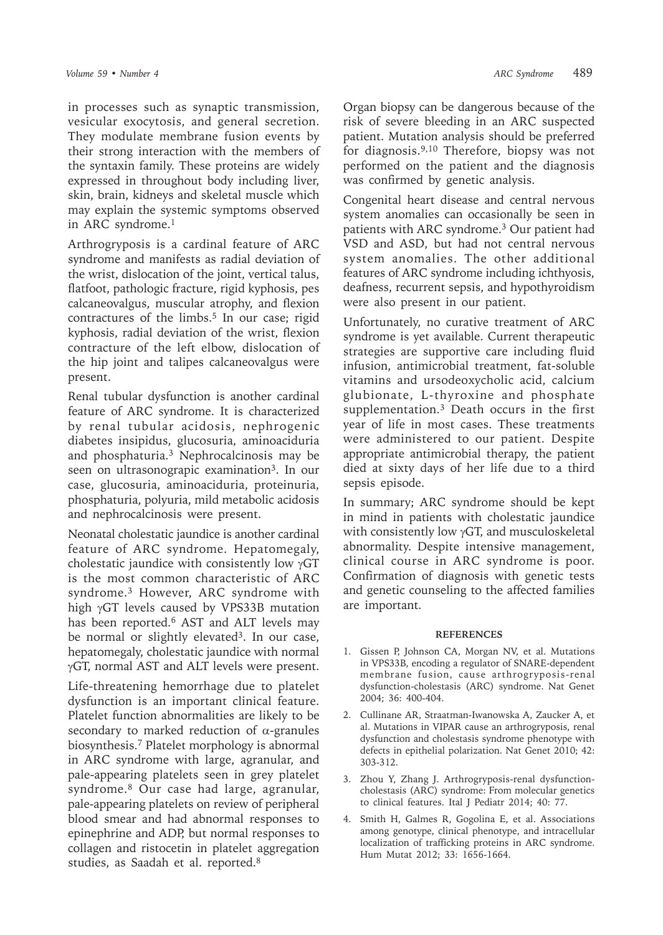in processes such as synaptic transmission, vesicular exocytosis, and general secretion. They modulate membrane fusion events by their strong interaction with the members of the syntaxin family. These proteins are widely expressed in throughout body including liver, skin, brain, kidneys and skeletal muscle which may explain the systemic symptoms observed in ARC syndrome. $<sup>1</sup>$ </sup>

Arthrogryposis is a cardinal feature of ARC syndrome and manifests as radial deviation of the wrist, dislocation of the joint, vertical talus, flatfoot, pathologic fracture, rigid kyphosis, pes calcaneovalgus, muscular atrophy, and flexion contractures of the limbs.<sup>5</sup> In our case; rigid kyphosis, radial deviation of the wrist, flexion contracture of the left elbow, dislocation of the hip joint and talipes calcaneovalgus were present.

Renal tubular dysfunction is another cardinal feature of ARC syndrome. It is characterized by renal tubular acidosis, nephrogenic diabetes insipidus, glucosuria, aminoaciduria and phosphaturia.<sup>3</sup> Nephrocalcinosis may be seen on ultrasonograpic examination<sup>3</sup>. In our case, glucosuria, aminoaciduria, proteinuria, phosphaturia, polyuria, mild metabolic acidosis and nephrocalcinosis were present.

Neonatal cholestatic jaundice is another cardinal feature of ARC syndrome. Hepatomegaly, cholestatic jaundice with consistently low γGT is the most common characteristic of ARC syndrome.<sup>3</sup> However, ARC syndrome with high γGT levels caused by VPS33B mutation has been reported.<sup>6</sup> AST and ALT levels may be normal or slightly elevated<sup>3</sup>. In our case, hepatomegaly, cholestatic jaundice with normal γGT, normal AST and ALT levels were present.

Life-threatening hemorrhage due to platelet dysfunction is an important clinical feature. Platelet function abnormalities are likely to be secondary to marked reduction of  $\alpha$ -granules biosynthesis.7 Platelet morphology is abnormal in ARC syndrome with large, agranular, and pale-appearing platelets seen in grey platelet syndrome.<sup>8</sup> Our case had large, agranular, pale-appearing platelets on review of peripheral blood smear and had abnormal responses to epinephrine and ADP, but normal responses to collagen and ristocetin in platelet aggregation studies, as Saadah et al. reported.<sup>8</sup>

Organ biopsy can be dangerous because of the risk of severe bleeding in an ARC suspected patient. Mutation analysis should be preferred for diagnosis.9,10 Therefore, biopsy was not performed on the patient and the diagnosis was confirmed by genetic analysis.

Congenital heart disease and central nervous system anomalies can occasionally be seen in patients with ARC syndrome.<sup>3</sup> Our patient had VSD and ASD, but had not central nervous system anomalies. The other additional features of ARC syndrome including ichthyosis, deafness, recurrent sepsis, and hypothyroidism were also present in our patient.

Unfortunately, no curative treatment of ARC syndrome is yet available. Current therapeutic strategies are supportive care including fluid infusion, antimicrobial treatment, fat-soluble vitamins and ursodeoxycholic acid, calcium glubionate, L-thyroxine and phosphate supplementation.<sup>3</sup> Death occurs in the first year of life in most cases. These treatments were administered to our patient. Despite appropriate antimicrobial therapy, the patient died at sixty days of her life due to a third sepsis episode.

In summary; ARC syndrome should be kept in mind in patients with cholestatic jaundice with consistently low γGT, and musculoskeletal abnormality. Despite intensive management, clinical course in ARC syndrome is poor. Confirmation of diagnosis with genetic tests and genetic counseling to the affected families are important.

## **REFERENCES**

- 1. Gissen P, Johnson CA, Morgan NV, et al. Mutations in VPS33B, encoding a regulator of SNARE-dependent membrane fusion, cause arthrogryposis-renal dysfunction-cholestasis (ARC) syndrome. Nat Genet 2004; 36: 400-404.
- 2. Cullinane AR, Straatman-Iwanowska A, Zaucker A, et al. Mutations in VIPAR cause an arthrogryposis, renal dysfunction and cholestasis syndrome phenotype with defects in epithelial polarization. Nat Genet 2010; 42: 303-312.
- 3. Zhou Y, Zhang J. Arthrogryposis-renal dysfunctioncholestasis (ARC) syndrome: From molecular genetics to clinical features. Ital J Pediatr 2014; 40: 77.
- 4. Smith H, Galmes R, Gogolina E, et al. Associations among genotype, clinical phenotype, and intracellular localization of trafficking proteins in ARC syndrome. Hum Mutat 2012; 33: 1656-1664.